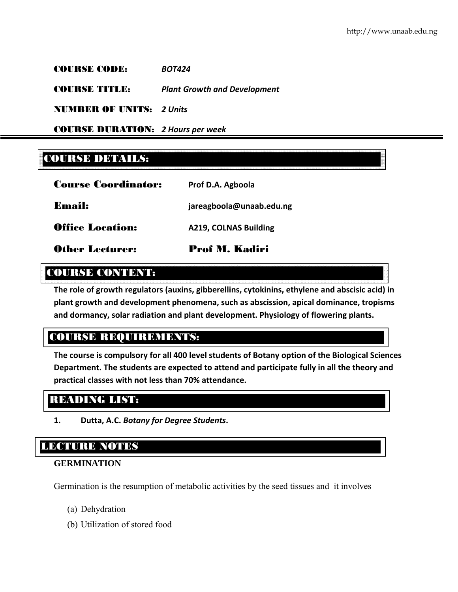COURSE CODE: *BOT424*

COURSE TITLE: *Plant Growth and Development*

NUMBER OF UNITS: *2 Units*

COURSE DURATION: *2 Hours per week*

# COURSE DETAILS:

| <b>Other Lecturer:</b>     | <b>Prof M. Kadiri</b>    |
|----------------------------|--------------------------|
| <b>Office Location:</b>    | A219, COLNAS Building    |
| <b>Email:</b>              | jareagboola@unaab.edu.ng |
| <b>Course Coordinator:</b> | Prof D.A. Agboola        |

# COURSE CONTENT:

**The role of growth regulators (auxins, gibberellins, cytokinins, ethylene and abscisic acid) in plant growth and development phenomena, such as abscission, apical dominance, tropisms and dormancy, solar radiation and plant development. Physiology of flowering plants.**

# COURSE REQUIREMENTS:

**The course is compulsory for all 400 level students of Botany option of the Biological Sciences Department. The students are expected to attend and participate fully in all the theory and practical classes with not less than 70% attendance.**

# READING LIST:

**1. Dutta, A.C.** *Botany for Degree Students***.**

# LECTURE NOTES

## **GERMINATION**

Germination is the resumption of metabolic activities by the seed tissues and it involves

- (a) Dehydration
- (b) Utilization of stored food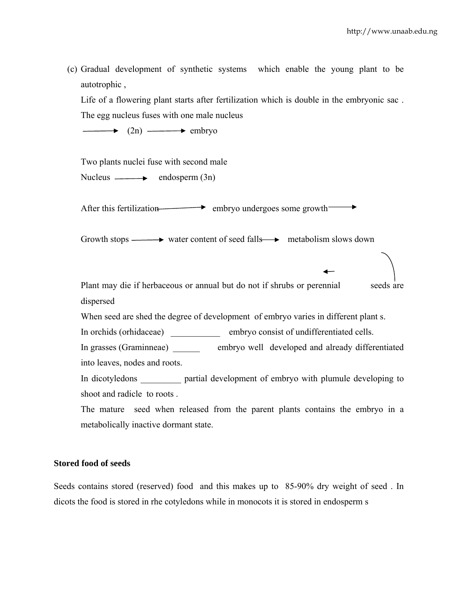(c) Gradual development of synthetic systems which enable the young plant to be autotrophic ,

Life of a flowering plant starts after fertilization which is double in the embryonic sac . The egg nucleus fuses with one male nucleus

 $\longrightarrow$  (2n)  $\longrightarrow$  embryo

Two plants nuclei fuse with second male Nucleus  $\longrightarrow$  endosperm  $(3n)$ 

After this fertilization embryo undergoes some growth

Growth stops  $\longrightarrow$  water content of seed falls  $\longrightarrow$  metabolism slows down

Plant may die if herbaceous or annual but do not if shrubs or perennial seeds are dispersed

When seed are shed the degree of development of embryo varies in different plant s.

In orchids (orhidaceae) embryo consist of undifferentiated cells.

In grasses (Graminneae) embryo well developed and already differentiated into leaves, nodes and roots.

In dicotyledons **partial development of embryo with plumule developing to** shoot and radicle to roots .

The mature seed when released from the parent plants contains the embryo in a metabolically inactive dormant state.

#### **Stored food of seeds**

Seeds contains stored (reserved) food and this makes up to 85-90% dry weight of seed . In dicots the food is stored in rhe cotyledons while in monocots it is stored in endosperm s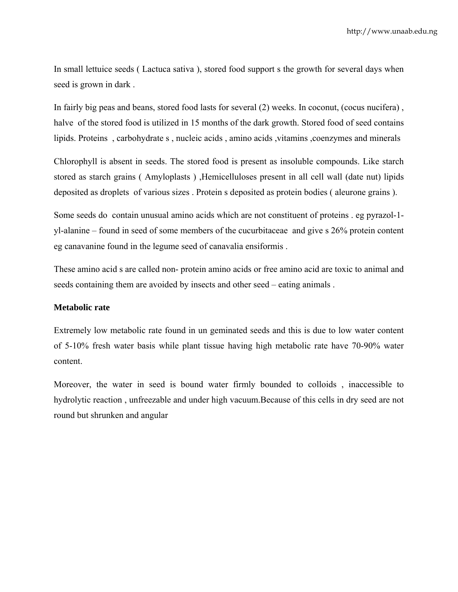In small lettuice seeds ( Lactuca sativa ), stored food support s the growth for several days when seed is grown in dark .

In fairly big peas and beans, stored food lasts for several (2) weeks. In coconut, (cocus nucifera) , halve of the stored food is utilized in 15 months of the dark growth. Stored food of seed contains lipids. Proteins, carbohydrate s, nucleic acids, amino acids, vitamins, coenzymes and minerals

Chlorophyll is absent in seeds. The stored food is present as insoluble compounds. Like starch stored as starch grains ( Amyloplasts ) ,Hemicelluloses present in all cell wall (date nut) lipids deposited as droplets of various sizes . Protein s deposited as protein bodies ( aleurone grains ).

Some seeds do contain unusual amino acids which are not constituent of proteins . eg pyrazol-1 yl-alanine – found in seed of some members of the cucurbitaceae and give s 26% protein content eg canavanine found in the legume seed of canavalia ensiformis .

These amino acid s are called non- protein amino acids or free amino acid are toxic to animal and seeds containing them are avoided by insects and other seed – eating animals .

#### **Metabolic rate**

Extremely low metabolic rate found in un geminated seeds and this is due to low water content of 5-10% fresh water basis while plant tissue having high metabolic rate have 70-90% water content.

Moreover, the water in seed is bound water firmly bounded to colloids , inaccessible to hydrolytic reaction , unfreezable and under high vacuum.Because of this cells in dry seed are not round but shrunken and angular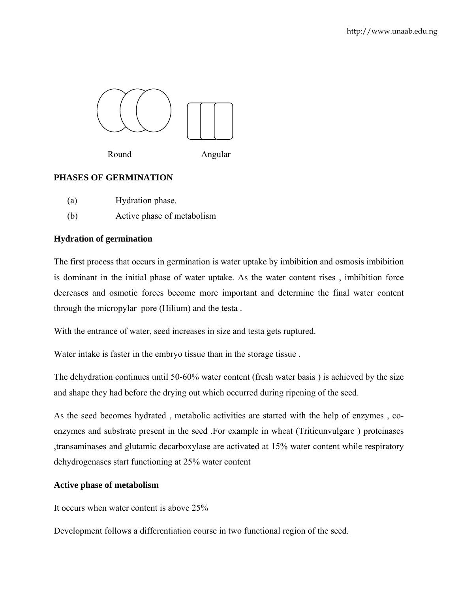

Round Angular

## **PHASES OF GERMINATION**

- (a) Hydration phase.
- (b) Active phase of metabolism

## **Hydration of germination**

The first process that occurs in germination is water uptake by imbibition and osmosis imbibition is dominant in the initial phase of water uptake. As the water content rises , imbibition force decreases and osmotic forces become more important and determine the final water content through the micropylar pore (Hilium) and the testa .

With the entrance of water, seed increases in size and testa gets ruptured.

Water intake is faster in the embryo tissue than in the storage tissue .

The dehydration continues until 50-60% water content (fresh water basis ) is achieved by the size and shape they had before the drying out which occurred during ripening of the seed.

As the seed becomes hydrated , metabolic activities are started with the help of enzymes , coenzymes and substrate present in the seed .For example in wheat (Triticunvulgare ) proteinases ,transaminases and glutamic decarboxylase are activated at 15% water content while respiratory dehydrogenases start functioning at 25% water content

## **Active phase of metabolism**

It occurs when water content is above 25%

Development follows a differentiation course in two functional region of the seed.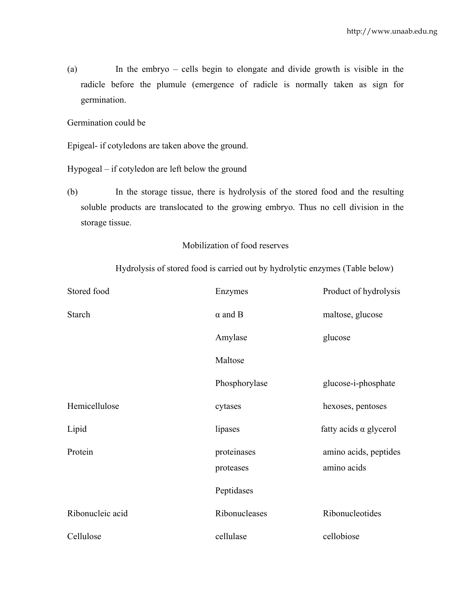(a) In the embryo – cells begin to elongate and divide growth is visible in the radicle before the plumule (emergence of radicle is normally taken as sign for germination.

Germination could be

Epigeal- if cotyledons are taken above the ground.

Hypogeal – if cotyledon are left below the ground

(b) In the storage tissue, there is hydrolysis of the stored food and the resulting soluble products are translocated to the growing embryo. Thus no cell division in the storage tissue.

#### Mobilization of food reserves

Hydrolysis of stored food is carried out by hydrolytic enzymes (Table below)

| Stored food      | Enzymes                  | Product of hydrolysis                |
|------------------|--------------------------|--------------------------------------|
| <b>Starch</b>    | $\alpha$ and B           | maltose, glucose                     |
|                  | Amylase                  | glucose                              |
|                  | Maltose                  |                                      |
|                  | Phosphorylase            | glucose-i-phosphate                  |
| Hemicellulose    | cytases                  | hexoses, pentoses                    |
| Lipid            | lipases                  | fatty acids $\alpha$ glycerol        |
| Protein          | proteinases<br>proteases | amino acids, peptides<br>amino acids |
|                  | Peptidases               |                                      |
| Ribonucleic acid | Ribonucleases            | Ribonucleotides                      |
| Cellulose        | cellulase                | cellobiose                           |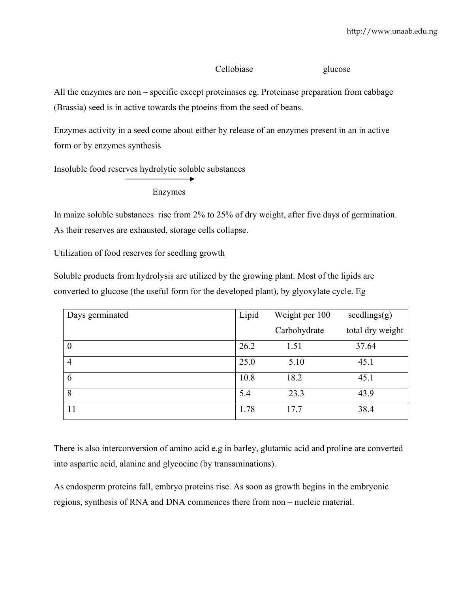## Cellobiase glucose

All the enzymes are non – specific except proteinases eg. Proteinase preparation from cabbage (Brassia) seed is in active towards the ptoeins from the seed of beans.

Enzymes activity in a seed come about either by release of an enzymes present in an in active form or by enzymes synthesis

Insoluble food reserves hydrolytic soluble substances

Enzymes

In maize soluble substances rise from 2% to 25% of dry weight, after five days of germination. As their reserves are exhausted, storage cells collapse.

Utilization of food reserves for seedling growth

Soluble products from hydrolysis are utilized by the growing plant. Most of the lipids are converted to glucose (the useful form for the developed plant), by glyoxylate cycle. Eg

| Days germinated  | Lipid | Weight per 100 | seedlings(g)     |
|------------------|-------|----------------|------------------|
|                  |       | Carbohydrate   | total dry weight |
| $\boldsymbol{0}$ | 26.2  | 1.51           | 37.64            |
| $\overline{4}$   | 25.0  | 5.10           | 45.1             |
| 6                | 10.8  | 18.2           | 45.1             |
| 8                | 5.4   | 23.3           | 43.9             |
| 11               | 1.78  | 17.7           | 38.4             |

There is also interconversion of amino acid e.g in barley, glutamic acid and proline are converted into aspartic acid, alanine and glycocine (by transaminations).

As endosperm proteins fall, embryo proteins rise. As soon as growth begins in the embryonic regions, synthesis of RNA and DNA commences there from non – nucleic material.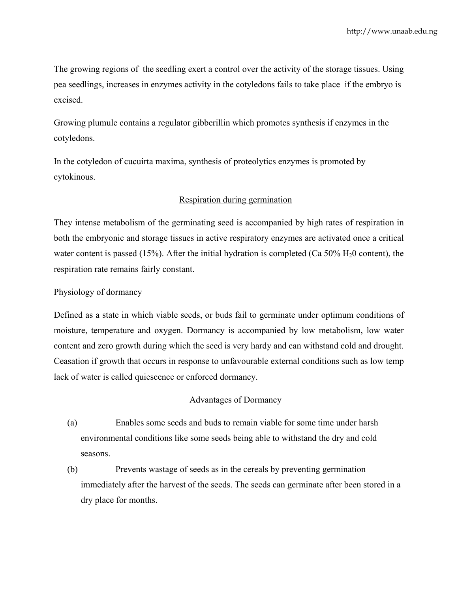The growing regions of the seedling exert a control over the activity of the storage tissues. Using pea seedlings, increases in enzymes activity in the cotyledons fails to take place if the embryo is excised.

Growing plumule contains a regulator gibberillin which promotes synthesis if enzymes in the cotyledons.

In the cotyledon of cucuirta maxima, synthesis of proteolytics enzymes is promoted by cytokinous.

## Respiration during germination

They intense metabolism of the germinating seed is accompanied by high rates of respiration in both the embryonic and storage tissues in active respiratory enzymes are activated once a critical water content is passed (15%). After the initial hydration is completed (Ca 50%  $H_2$ 0 content), the respiration rate remains fairly constant.

Physiology of dormancy

Defined as a state in which viable seeds, or buds fail to germinate under optimum conditions of moisture, temperature and oxygen. Dormancy is accompanied by low metabolism, low water content and zero growth during which the seed is very hardy and can withstand cold and drought. Ceasation if growth that occurs in response to unfavourable external conditions such as low temp lack of water is called quiescence or enforced dormancy.

## Advantages of Dormancy

- (a) Enables some seeds and buds to remain viable for some time under harsh environmental conditions like some seeds being able to withstand the dry and cold seasons.
- (b) Prevents wastage of seeds as in the cereals by preventing germination immediately after the harvest of the seeds. The seeds can germinate after been stored in a dry place for months.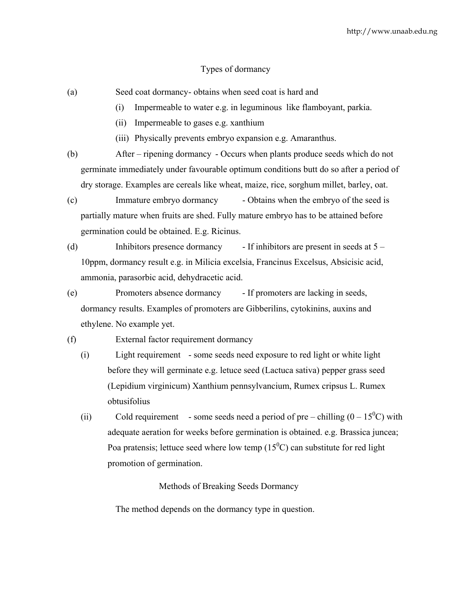#### Types of dormancy

- (a) Seed coat dormancy obtains when seed coat is hard and
	- (i) Impermeable to water e.g. in leguminous like flamboyant, parkia.
	- (ii) Impermeable to gases e.g. xanthium
	- (iii) Physically prevents embryo expansion e.g. Amaranthus.
- (b) After ripening dormancy Occurs when plants produce seeds which do not germinate immediately under favourable optimum conditions butt do so after a period of dry storage. Examples are cereals like wheat, maize, rice, sorghum millet, barley, oat.
- (c) Immature embryo dormancy Obtains when the embryo of the seed is partially mature when fruits are shed. Fully mature embryo has to be attained before germination could be obtained. E.g. Ricinus.
- (d) Inhibitors presence dormancy If inhibitors are present in seeds at 5 10ppm, dormancy result e.g. in Milicia excelsia, Francinus Excelsus, Absicisic acid, ammonia, parasorbic acid, dehydracetic acid.
- (e) Promoters absence dormancy If promoters are lacking in seeds, dormancy results. Examples of promoters are Gibberilins, cytokinins, auxins and ethylene. No example yet.
- (f) External factor requirement dormancy
	- (i) Light requirement some seeds need exposure to red light or white light before they will germinate e.g. letuce seed (Lactuca sativa) pepper grass seed (Lepidium virginicum) Xanthium pennsylvancium, Rumex cripsus L. Rumex obtusifolius
	- (ii) Cold requirement some seeds need a period of pre chilling  $(0 15^{\circ}C)$  with adequate aeration for weeks before germination is obtained. e.g. Brassica juncea; Poa pratensis; lettuce seed where low temp  $(15^0C)$  can substitute for red light promotion of germination.

Methods of Breaking Seeds Dormancy

The method depends on the dormancy type in question.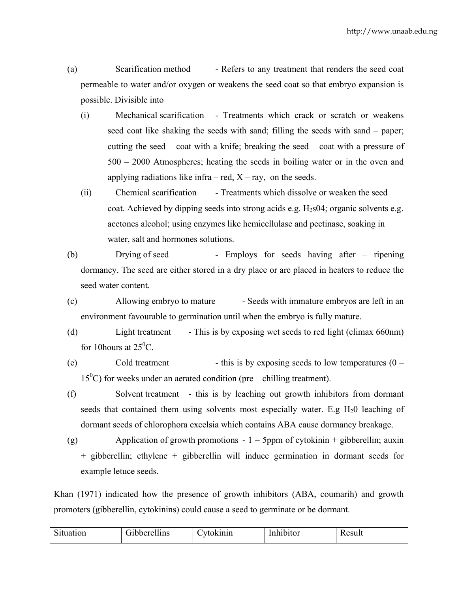(a) Scarification method - Refers to any treatment that renders the seed coat permeable to water and/or oxygen or weakens the seed coat so that embryo expansion is possible. Divisible into

- (i) Mechanical scarification Treatments which crack or scratch or weakens seed coat like shaking the seeds with sand; filling the seeds with sand – paper; cutting the seed – coat with a knife; breaking the seed – coat with a pressure of 500 – 2000 Atmospheres; heating the seeds in boiling water or in the oven and applying radiations like infra – red,  $X$  – ray, on the seeds.
- (ii) Chemical scarification Treatments which dissolve or weaken the seed coat. Achieved by dipping seeds into strong acids e.g.  $H_2$ s04; organic solvents e.g. acetones alcohol; using enzymes like hemicellulase and pectinase, soaking in water, salt and hormones solutions.
- (b) Drying of seed Employs for seeds having after ripening dormancy. The seed are either stored in a dry place or are placed in heaters to reduce the seed water content.
- (c) Allowing embryo to mature Seeds with immature embryos are left in an environment favourable to germination until when the embryo is fully mature.
- (d) Light treatment This is by exposing wet seeds to red light (climax 660nm) for 10 hours at  $25^{\circ}$ C.
- (e) Cold treatment this is by exposing seeds to low temperatures  $(0 15^{\circ}$ C) for weeks under an aerated condition (pre – chilling treatment).
- (f) Solvent treatment this is by leaching out growth inhibitors from dormant seeds that contained them using solvents most especially water. E.g  $H_20$  leaching of dormant seeds of chlorophora excelsia which contains ABA cause dormancy breakage.
- (g) Application of growth promotions  $-1 5$ ppm of cytokinin + gibberellin; auxin + gibberellin; ethylene + gibberellin will induce germination in dormant seeds for example letuce seeds.

Khan (1971) indicated how the presence of growth inhibitors (ABA, coumarih) and growth promoters (gibberellin, cytokinins) could cause a seed to germinate or be dormant.

| n:<br>tion | $\rightarrow$ $\rightarrow$<br>$\cdots$<br>مممط<br>'lins | $\sim$<br>'nın | Inhibi<br>.<br>попон<br>$\sim$ | 0011<br>25 U.I V |
|------------|----------------------------------------------------------|----------------|--------------------------------|------------------|
|------------|----------------------------------------------------------|----------------|--------------------------------|------------------|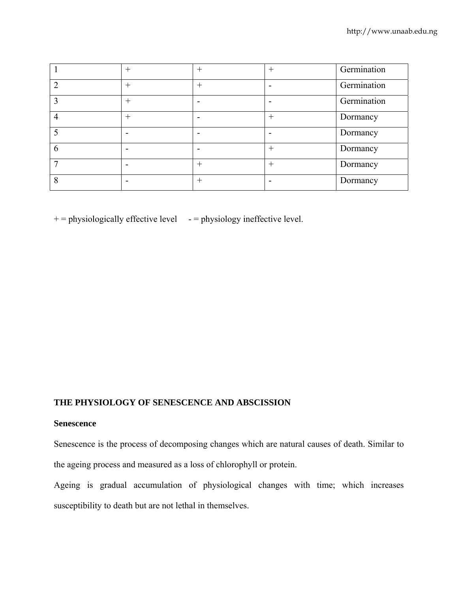|             | $^{+}$ | $^{+}$ | $^{+}$ | Germination |
|-------------|--------|--------|--------|-------------|
| ∍           | $+$    | $^{+}$ |        | Germination |
| $\mathbf 3$ | $^{+}$ |        |        | Germination |
| 4           | $^{+}$ |        | $^{+}$ | Dormancy    |
| 5           |        |        |        | Dormancy    |
| 6           |        |        | $^{+}$ | Dormancy    |
|             |        | $+$    | $+$    | Dormancy    |
| 8           |        | $^{+}$ |        | Dormancy    |

 $+$  = physiologically effective level  $-$  = physiology ineffective level.

## **THE PHYSIOLOGY OF SENESCENCE AND ABSCISSION**

#### **Senescence**

Senescence is the process of decomposing changes which are natural causes of death. Similar to the ageing process and measured as a loss of chlorophyll or protein.

Ageing is gradual accumulation of physiological changes with time; which increases susceptibility to death but are not lethal in themselves.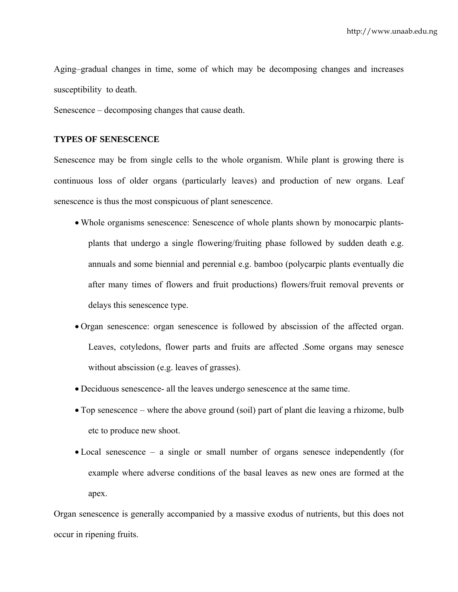Aging–gradual changes in time, some of which may be decomposing changes and increases susceptibility to death.

Senescence – decomposing changes that cause death.

#### **TYPES OF SENESCENCE**

Senescence may be from single cells to the whole organism. While plant is growing there is continuous loss of older organs (particularly leaves) and production of new organs. Leaf senescence is thus the most conspicuous of plant senescence.

- Whole organisms senescence: Senescence of whole plants shown by monocarpic plantsplants that undergo a single flowering/fruiting phase followed by sudden death e.g. annuals and some biennial and perennial e.g. bamboo (polycarpic plants eventually die after many times of flowers and fruit productions) flowers/fruit removal prevents or delays this senescence type.
- Organ senescence: organ senescence is followed by abscission of the affected organ. Leaves, cotyledons, flower parts and fruits are affected .Some organs may senesce without abscission (e.g. leaves of grasses).
- Deciduous senescence- all the leaves undergo senescence at the same time.
- Top senescence where the above ground (soil) part of plant die leaving a rhizome, bulb etc to produce new shoot.
- Local senescence a single or small number of organs senesce independently (for example where adverse conditions of the basal leaves as new ones are formed at the apex.

Organ senescence is generally accompanied by a massive exodus of nutrients, but this does not occur in ripening fruits.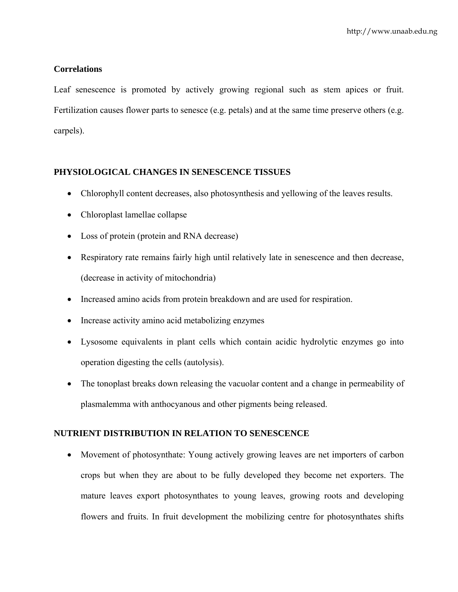## **Correlations**

Leaf senescence is promoted by actively growing regional such as stem apices or fruit. Fertilization causes flower parts to senesce (e.g. petals) and at the same time preserve others (e.g. carpels).

## **PHYSIOLOGICAL CHANGES IN SENESCENCE TISSUES**

- Chlorophyll content decreases, also photosynthesis and yellowing of the leaves results.
- Chloroplast lamellae collapse
- Loss of protein (protein and RNA decrease)
- Respiratory rate remains fairly high until relatively late in senescence and then decrease, (decrease in activity of mitochondria)
- Increased amino acids from protein breakdown and are used for respiration.
- Increase activity amino acid metabolizing enzymes
- Lysosome equivalents in plant cells which contain acidic hydrolytic enzymes go into operation digesting the cells (autolysis).
- The tonoplast breaks down releasing the vacuolar content and a change in permeability of plasmalemma with anthocyanous and other pigments being released.

## **NUTRIENT DISTRIBUTION IN RELATION TO SENESCENCE**

• Movement of photosynthate: Young actively growing leaves are net importers of carbon crops but when they are about to be fully developed they become net exporters. The mature leaves export photosynthates to young leaves, growing roots and developing flowers and fruits. In fruit development the mobilizing centre for photosynthates shifts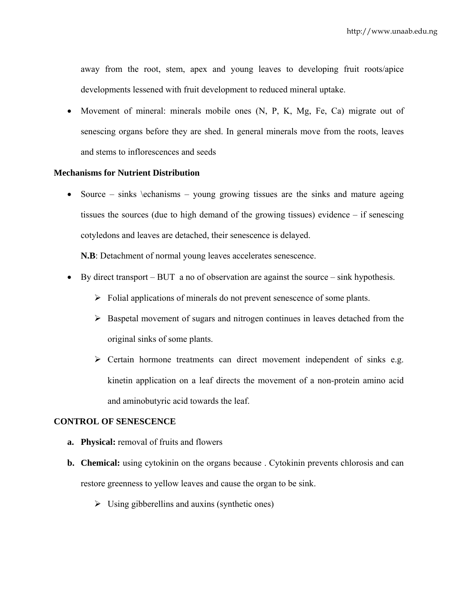away from the root, stem, apex and young leaves to developing fruit roots/apice developments lessened with fruit development to reduced mineral uptake.

• Movement of mineral: minerals mobile ones (N, P, K, Mg, Fe, Ca) migrate out of senescing organs before they are shed. In general minerals move from the roots, leaves and stems to inflorescences and seeds

## **Mechanisms for Nutrient Distribution**

• Source – sinks \echanisms – young growing tissues are the sinks and mature ageing tissues the sources (due to high demand of the growing tissues) evidence – if senescing cotyledons and leaves are detached, their senescence is delayed.

**N.B**: Detachment of normal young leaves accelerates senescence.

- By direct transport BUT a no of observation are against the source sink hypothesis.
	- $\triangleright$  Folial applications of minerals do not prevent senescence of some plants.
	- $\triangleright$  Baspetal movement of sugars and nitrogen continues in leaves detached from the original sinks of some plants.
	- $\triangleright$  Certain hormone treatments can direct movement independent of sinks e.g. kinetin application on a leaf directs the movement of a non-protein amino acid and aminobutyric acid towards the leaf.

## **CONTROL OF SENESCENCE**

- **a. Physical:** removal of fruits and flowers
- **b. Chemical:** using cytokinin on the organs because . Cytokinin prevents chlorosis and can restore greenness to yellow leaves and cause the organ to be sink.
	- $\triangleright$  Using gibberellins and auxins (synthetic ones)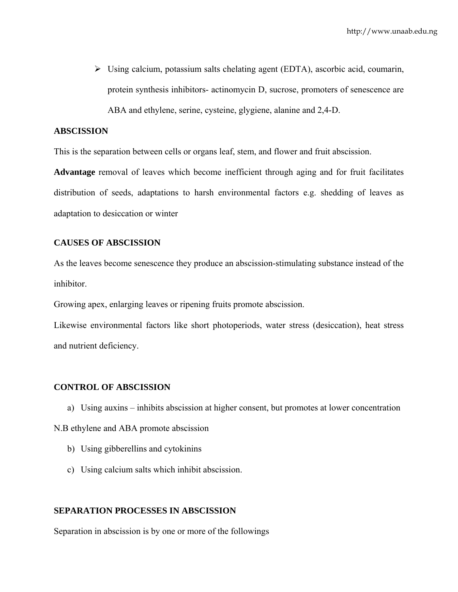¾ Using calcium, potassium salts chelating agent (EDTA), ascorbic acid, coumarin, protein synthesis inhibitors- actinomycin D, sucrose, promoters of senescence are ABA and ethylene, serine, cysteine, glygiene, alanine and 2,4-D.

#### **ABSCISSION**

This is the separation between cells or organs leaf, stem, and flower and fruit abscission.

**Advantage** removal of leaves which become inefficient through aging and for fruit facilitates distribution of seeds, adaptations to harsh environmental factors e.g. shedding of leaves as adaptation to desiccation or winter

#### **CAUSES OF ABSCISSION**

As the leaves become senescence they produce an abscission-stimulating substance instead of the inhibitor.

Growing apex, enlarging leaves or ripening fruits promote abscission.

Likewise environmental factors like short photoperiods, water stress (desiccation), heat stress and nutrient deficiency.

#### **CONTROL OF ABSCISSION**

a) Using auxins – inhibits abscission at higher consent, but promotes at lower concentration

N.B ethylene and ABA promote abscission

- b) Using gibberellins and cytokinins
- c) Using calcium salts which inhibit abscission.

#### **SEPARATION PROCESSES IN ABSCISSION**

Separation in abscission is by one or more of the followings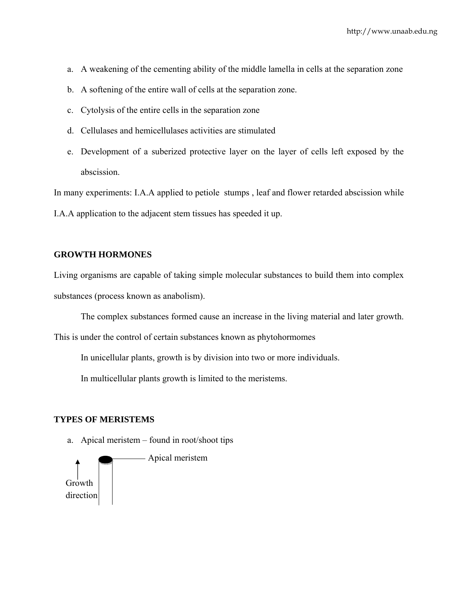- a. A weakening of the cementing ability of the middle lamella in cells at the separation zone
- b. A softening of the entire wall of cells at the separation zone.
- c. Cytolysis of the entire cells in the separation zone
- d. Cellulases and hemicellulases activities are stimulated
- e. Development of a suberized protective layer on the layer of cells left exposed by the abscission.

In many experiments: I.A.A applied to petiole stumps , leaf and flower retarded abscission while I.A.A application to the adjacent stem tissues has speeded it up.

#### **GROWTH HORMONES**

Living organisms are capable of taking simple molecular substances to build them into complex substances (process known as anabolism).

The complex substances formed cause an increase in the living material and later growth.

This is under the control of certain substances known as phytohormomes

In unicellular plants, growth is by division into two or more individuals.

In multicellular plants growth is limited to the meristems.

#### **TYPES OF MERISTEMS**

a. Apical meristem – found in root/shoot tips

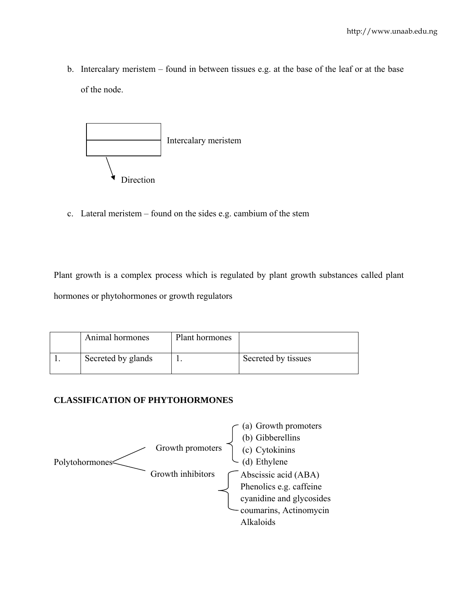b. Intercalary meristem – found in between tissues e.g. at the base of the leaf or at the base of the node.



c. Lateral meristem – found on the sides e.g. cambium of the stem

Plant growth is a complex process which is regulated by plant growth substances called plant hormones or phytohormones or growth regulators

| Animal hormones    | Plant hormones |                     |
|--------------------|----------------|---------------------|
| Secreted by glands |                | Secreted by tissues |

## **CLASSIFICATION OF PHYTOHORMONES**

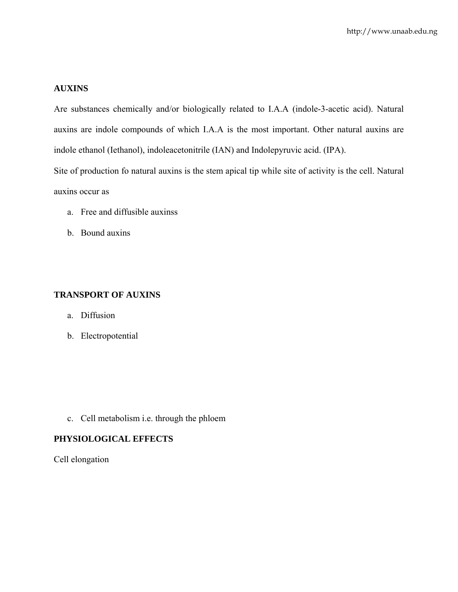## **AUXINS**

Are substances chemically and/or biologically related to I.A.A (indole-3-acetic acid). Natural auxins are indole compounds of which I.A.A is the most important. Other natural auxins are indole ethanol (Iethanol), indoleacetonitrile (IAN) and Indolepyruvic acid. (IPA).

Site of production fo natural auxins is the stem apical tip while site of activity is the cell. Natural auxins occur as

- a. Free and diffusible auxinss
- b. Bound auxins

#### **TRANSPORT OF AUXINS**

- a. Diffusion
- b. Electropotential

c. Cell metabolism i.e. through the phloem

#### **PHYSIOLOGICAL EFFECTS**

Cell elongation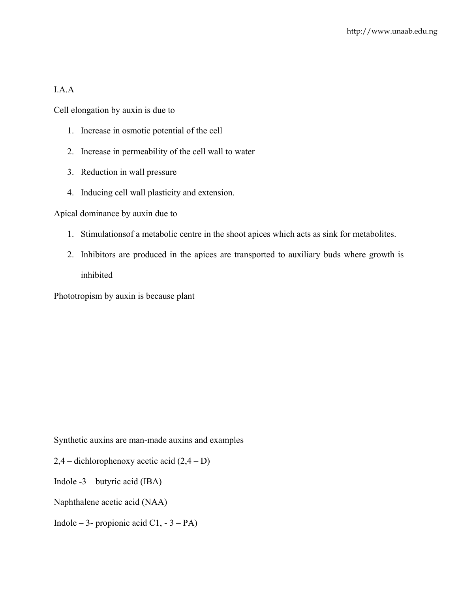## I.A.A

Cell elongation by auxin is due to

- 1. Increase in osmotic potential of the cell
- 2. Increase in permeability of the cell wall to water
- 3. Reduction in wall pressure
- 4. Inducing cell wall plasticity and extension.

## Apical dominance by auxin due to

- 1. Stimulationsof a metabolic centre in the shoot apices which acts as sink for metabolites.
- 2. Inhibitors are produced in the apices are transported to auxiliary buds where growth is inhibited

Phototropism by auxin is because plant

Synthetic auxins are man-made auxins and examples

- $2,4$  dichlorophenoxy acetic acid  $(2,4 D)$
- Indole -3 butyric acid (IBA)
- Naphthalene acetic acid (NAA)
- Indole 3- propionic acid C1,  $-3 PA$ )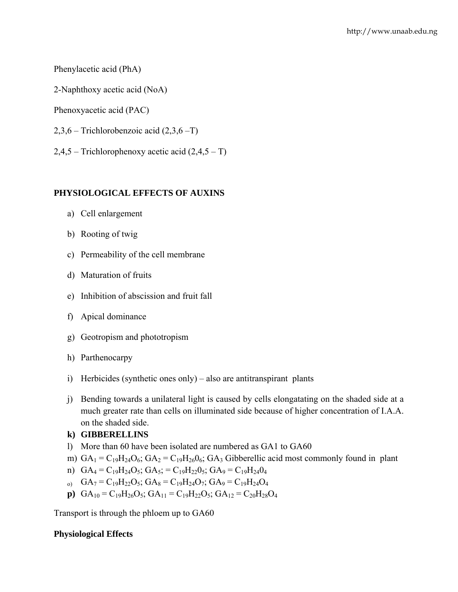## Phenylacetic acid (PhA)

- 2-Naphthoxy acetic acid (NoA)
- Phenoxyacetic acid (PAC)
- 2,3,6 Trichlorobenzoic acid (2,3,6 –T)
- $2,4,5$  Trichlorophenoxy acetic acid  $(2,4,5 T)$

## **PHYSIOLOGICAL EFFECTS OF AUXINS**

- a) Cell enlargement
- b) Rooting of twig
- c) Permeability of the cell membrane
- d) Maturation of fruits
- e) Inhibition of abscission and fruit fall
- f) Apical dominance
- g) Geotropism and phototropism
- h) Parthenocarpy
- i) Herbicides (synthetic ones only) also are antitranspirant plants
- j) Bending towards a unilateral light is caused by cells elongatating on the shaded side at a much greater rate than cells on illuminated side because of higher concentration of I.A.A. on the shaded side.

## **k) GIBBERELLINS**

- l) More than 60 have been isolated are numbered as GA1 to GA60
- m)  $GA_1 = C_{19}H_{24}O_6$ ;  $GA_2 = C_{19}H_{26}O_6$ ;  $GA_3$  Gibberellic acid most commonly found in plant
- n)  $GA_4 = C_{19}H_{24}O_5$ ;  $GA_5 = C_{19}H_{22}O_5$ ;  $GA_9 = C_{19}H_{24}O_4$
- $_{0}$  GA<sub>7</sub> = C<sub>19</sub>H<sub>22</sub>O<sub>5</sub>; GA<sub>8</sub> = C<sub>19</sub>H<sub>24</sub>O<sub>7</sub>; GA<sub>9</sub> = C<sub>19</sub>H<sub>24</sub>O<sub>4</sub>
- **p**)  $GA_{10} = C_{19}H_{26}O_5$ ;  $GA_{11} = C_{19}H_{22}O_5$ ;  $GA_{12} = C_{20}H_{28}O_4$

Transport is through the phloem up to GA60

## **Physiological Effects**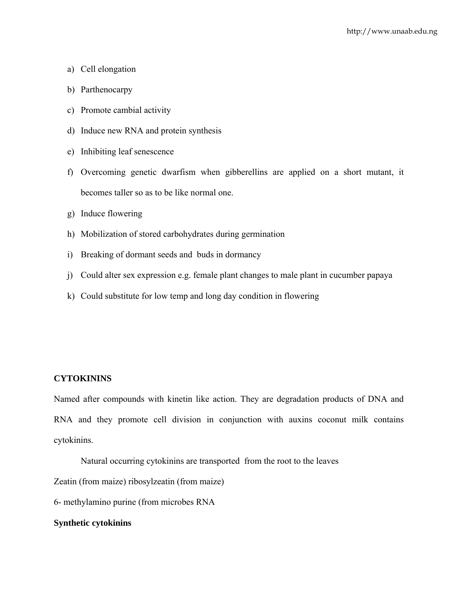- a) Cell elongation
- b) Parthenocarpy
- c) Promote cambial activity
- d) Induce new RNA and protein synthesis
- e) Inhibiting leaf senescence
- f) Overcoming genetic dwarfism when gibberellins are applied on a short mutant, it becomes taller so as to be like normal one.
- g) Induce flowering
- h) Mobilization of stored carbohydrates during germination
- i) Breaking of dormant seeds and buds in dormancy
- j) Could alter sex expression e.g. female plant changes to male plant in cucumber papaya
- k) Could substitute for low temp and long day condition in flowering

## **CYTOKININS**

Named after compounds with kinetin like action. They are degradation products of DNA and RNA and they promote cell division in conjunction with auxins coconut milk contains cytokinins.

Natural occurring cytokinins are transported from the root to the leaves

Zeatin (from maize) ribosylzeatin (from maize)

6- methylamino purine (from microbes RNA

#### **Synthetic cytokinins**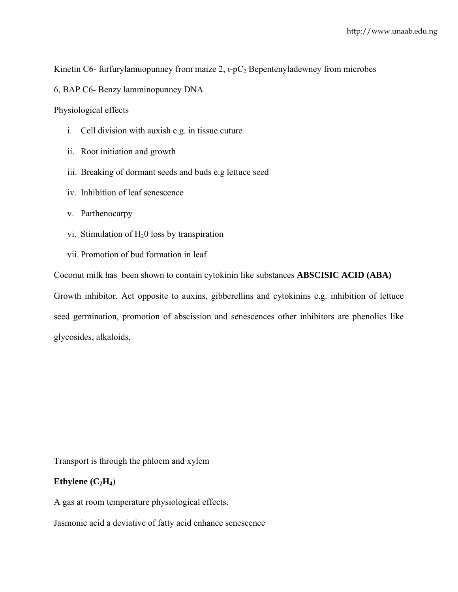Kinetin C6- furfurylamuopunney from maize 2,  $i$ -pC<sub>2</sub> Bepentenyladewney from microbes

6, BAP C6- Benzy lamminopunney DNA

Physiological effects

- i. Cell division with auxish e.g. in tissue cuture
- ii. Root initiation and growth
- iii. Breaking of dormant seeds and buds e.g lettuce seed
- iv. Inhibition of leaf senescence
- v. Parthenocarpy
- vi. Stimulation of  $H<sub>2</sub>0$  loss by transpiration
- vii. Promotion of bud formation in leaf

Coconut milk has been shown to contain cytokinin like substances **ABSCISIC ACID (ABA)** Growth inhibitor. Act opposite to auxins, gibberellins and cytokinins e.g. inhibition of lettuce seed germination, promotion of abscission and senescences other inhibitors are phenolics like glycosides, alkaloids,

Transport is through the phloem and xylem

#### **Ethylene**  $(C_2H_4)$

A gas at room temperature physiological effects.

Jasmonie acid a deviative of fatty acid enhance senescence